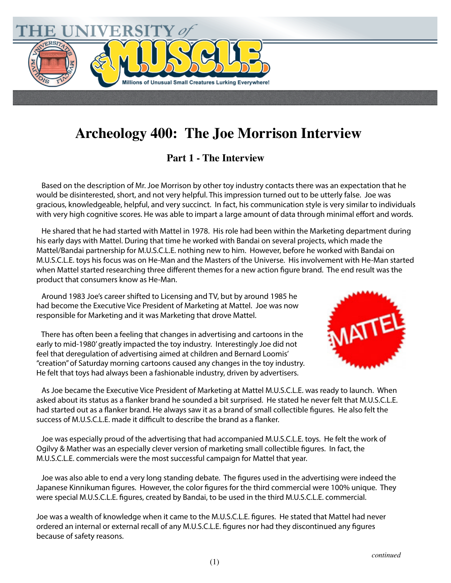

## **Archeology 400: The Joe Morrison Interview**

## **Part 1 - The Interview**

 Based on the description of Mr. Joe Morrison by other toy industry contacts there was an expectation that he would be disinterested, short, and not very helpful. This impression turned out to be utterly false. Joe was gracious, knowledgeable, helpful, and very succinct. In fact, his communication style is very similar to individuals with very high cognitive scores. He was able to impart a large amount of data through minimal effort and words.

 He shared that he had started with Mattel in 1978. His role had been within the Marketing department during his early days with Mattel. During that time he worked with Bandai on several projects, which made the Mattel/Bandai partnership for M.U.S.C.L.E. nothing new to him. However, before he worked with Bandai on M.U.S.C.L.E. toys his focus was on He-Man and the Masters of the Universe. His involvement with He-Man started when Mattel started researching three different themes for a new action figure brand. The end result was the product that consumers know as He-Man.

 Around 1983 Joe's career shifted to Licensing and TV, but by around 1985 he had become the Executive Vice President of Marketing at Mattel. Joe was now responsible for Marketing and it was Marketing that drove Mattel.

 There has often been a feeling that changes in advertising and cartoons in the early to mid-1980' greatly impacted the toy industry. Interestingly Joe did not feel that deregulation of advertising aimed at children and Bernard Loomis' "creation" of Saturday morning cartoons caused any changes in the toy industry. He felt that toys had always been a fashionable industry, driven by advertisers.



 As Joe became the Executive Vice President of Marketing at Mattel M.U.S.C.L.E. was ready to launch. When asked about its status as a flanker brand he sounded a bit surprised. He stated he never felt that M.U.S.C.L.E. had started out as a flanker brand. He always saw it as a brand of small collectible figures. He also felt the success of M.U.S.C.L.E. made it difficult to describe the brand as a flanker.

 Joe was especially proud of the advertising that had accompanied M.U.S.C.L.E. toys. He felt the work of Ogilvy & Mather was an especially clever version of marketing small collectible figures. In fact, the M.U.S.C.L.E. commercials were the most successful campaign for Mattel that year.

Joe was also able to end a very long standing debate. The figures used in the advertising were indeed the Japanese Kinnikuman figures. However, the color figures for the third commercial were 100% unique. They were special M.U.S.C.L.E. figures, created by Bandai, to be used in the third M.U.S.C.L.E. commercial.

Joe was a wealth of knowledge when it came to the M.U.S.C.L.E. figures. He stated that Mattel had never ordered an internal or external recall of any M.U.S.C.L.E. figures nor had they discontinued any figures because of safety reasons.